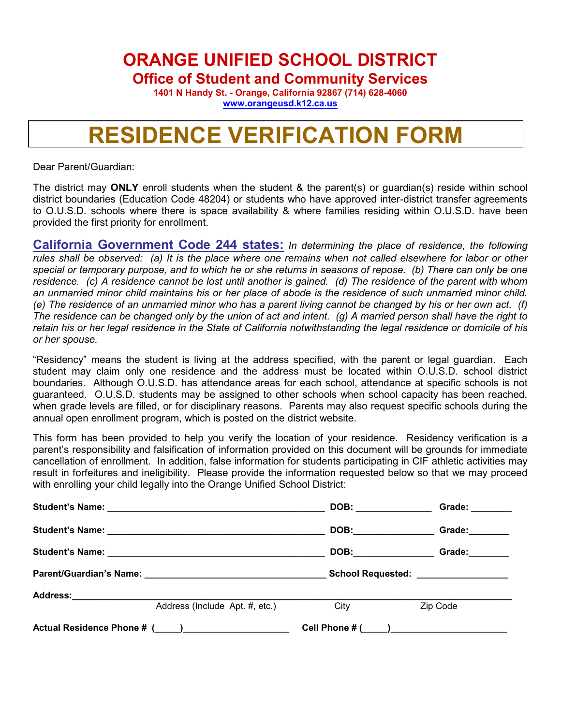**ORANGE UNIFIED SCHOOL DISTRICT**

**Office of Student and Community Services**

**1401 N Handy St. - Orange, California 92867 (714) 628-4060 [www.orangeusd.k12.ca.us](http://www.orangeusd.k12.ca.us/)**

## **RESIDENCE VERIFICATION FORM**

Dear Parent/Guardian:

The district may **ONLY** enroll students when the student & the parent(s) or guardian(s) reside within school district boundaries (Education Code 48204) or students who have approved inter-district transfer agreements to O.U.S.D. schools where there is space availability & where families residing within O.U.S.D. have been provided the first priority for enrollment.

**California Government Code 244 states:** *In determining the place of residence, the following rules shall be observed: (a) It is the place where one remains when not called elsewhere for labor or other special or temporary purpose, and to which he or she returns in seasons of repose. (b) There can only be one residence. (c) A residence cannot be lost until another is gained. (d) The residence of the parent with whom an unmarried minor child maintains his or her place of abode is the residence of such unmarried minor child. (e) The residence of an unmarried minor who has a parent living cannot be changed by his or her own act. (f) The residence can be changed only by the union of act and intent. (g) A married person shall have the right to retain his or her legal residence in the State of California notwithstanding the legal residence or domicile of his or her spouse.*

"Residency" means the student is living at the address specified, with the parent or legal guardian. Each student may claim only one residence and the address must be located within O.U.S.D. school district boundaries. Although O.U.S.D. has attendance areas for each school, attendance at specific schools is not guaranteed. O.U.S.D. students may be assigned to other schools when school capacity has been reached, when grade levels are filled, or for disciplinary reasons. Parents may also request specific schools during the annual open enrollment program, which is posted on the district website.

This form has been provided to help you verify the location of your residence. Residency verification is a parent's responsibility and falsification of information provided on this document will be grounds for immediate cancellation of enrollment. In addition, false information for students participating in CIF athletic activities may result in forfeitures and ineligibility. Please provide the information requested below so that we may proceed with enrolling your child legally into the Orange Unified School District:

|  |                                |                       | Grade: _______                     |  |  |
|--|--------------------------------|-----------------------|------------------------------------|--|--|
|  |                                | DOB:_________________ | Grade: <b>________</b>             |  |  |
|  |                                |                       | Grade: Canadian Control            |  |  |
|  |                                |                       | School Requested: ________________ |  |  |
|  |                                |                       |                                    |  |  |
|  | Address (Include Apt. #, etc.) | City                  | Zip Code                           |  |  |
|  |                                |                       |                                    |  |  |